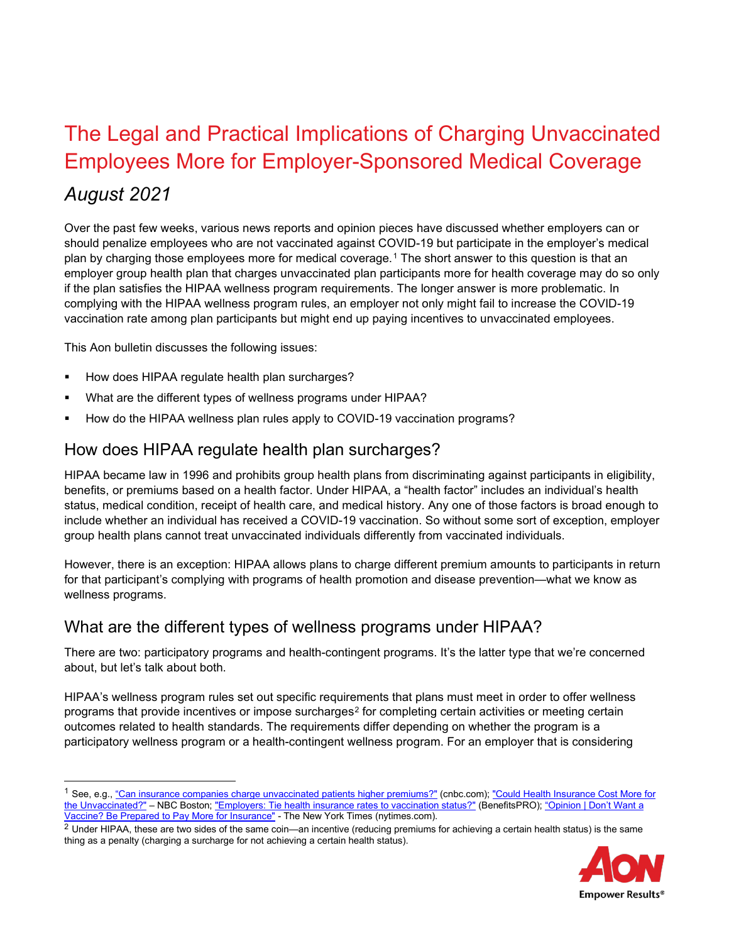# The Legal and Practical Implications of Charging Unvaccinated Employees More for Employer-Sponsored Medical Coverage

# *August 2021*

Over the past few weeks, various news reports and opinion pieces have discussed whether employers can or should penalize employees who are not vaccinated against COVID-19 but participate in the employer's medical plan by charging those employees more for medical coverage.[1](#page-0-0) The short answer to this question is that an employer group health plan that charges unvaccinated plan participants more for health coverage may do so only if the plan satisfies the HIPAA wellness program requirements. The longer answer is more problematic. In complying with the HIPAA wellness program rules, an employer not only might fail to increase the COVID-19 vaccination rate among plan participants but might end up paying incentives to unvaccinated employees.

This Aon bulletin discusses the following issues:

- How does HIPAA regulate health plan surcharges?
- What are the different types of wellness programs under HIPAA?
- How do the HIPAA wellness plan rules apply to COVID-19 vaccination programs?

#### How does HIPAA regulate health plan surcharges?

HIPAA became law in 1996 and prohibits group health plans from discriminating against participants in eligibility, benefits, or premiums based on a health factor. Under HIPAA, a "health factor" includes an individual's health status, medical condition, receipt of health care, and medical history. Any one of those factors is broad enough to include whether an individual has received a COVID-19 vaccination. So without some sort of exception, employer group health plans cannot treat unvaccinated individuals differently from vaccinated individuals.

However, there is an exception: HIPAA allows plans to charge different premium amounts to participants in return for that participant's complying with programs of health promotion and disease prevention—what we know as wellness programs.

#### What are the different types of wellness programs under HIPAA?

There are two: participatory programs and health-contingent programs. It's the latter type that we're concerned about, but let's talk about both.

HIPAA's wellness program rules set out specific requirements that plans must meet in order to offer wellness programs that provide incentives or impose surcharges<sup>[2](#page-0-1)</sup> for completing certain activities or meeting certain outcomes related to health standards. The requirements differ depending on whether the program is a participatory wellness program or a health-contingent wellness program. For an employer that is considering

<span id="page-0-1"></span><sup>&</sup>lt;sup>2</sup> Under HIPAA, these are two sides of the same coin—an incentive (reducing premiums for achieving a certain health status) is the same thing as a penalty (charging a surcharge for not achieving a certain health status).



<span id="page-0-0"></span><sup>&</sup>lt;sup>1</sup> See, e.g., ["Can insurance companies charge unvaccinated patients higher premiums?"](https://www.cnbc.com/video/2021/08/04/can-insurance-companies-charge-unvaccinated-patients-higher-premiums.html) (cnbc.com); "Could Health Insurance Cost More for [the Unvaccinated?"](https://www.nbcboston.com/news/coronavirus/could-health-insurance-cost-more-for-the-unvaccinated/2439579/) – NBC Boston[; "Employers: Tie health insurance rates to vaccination status?"](https://www.benefitspro.com/2021/08/03/employers-tie-health-insurance-rates-to-vaccine-status/?slreturn=20210708200612) (BenefitsPRO); ["Opinion | Don't Want a](https://www.nytimes.com/2021/08/02/opinion/health-insurance-unvaccinated.html)  [Vaccine? Be Prepared to Pay More for Insurance"](https://www.nytimes.com/2021/08/02/opinion/health-insurance-unvaccinated.html) - The New York Times (nytimes.com).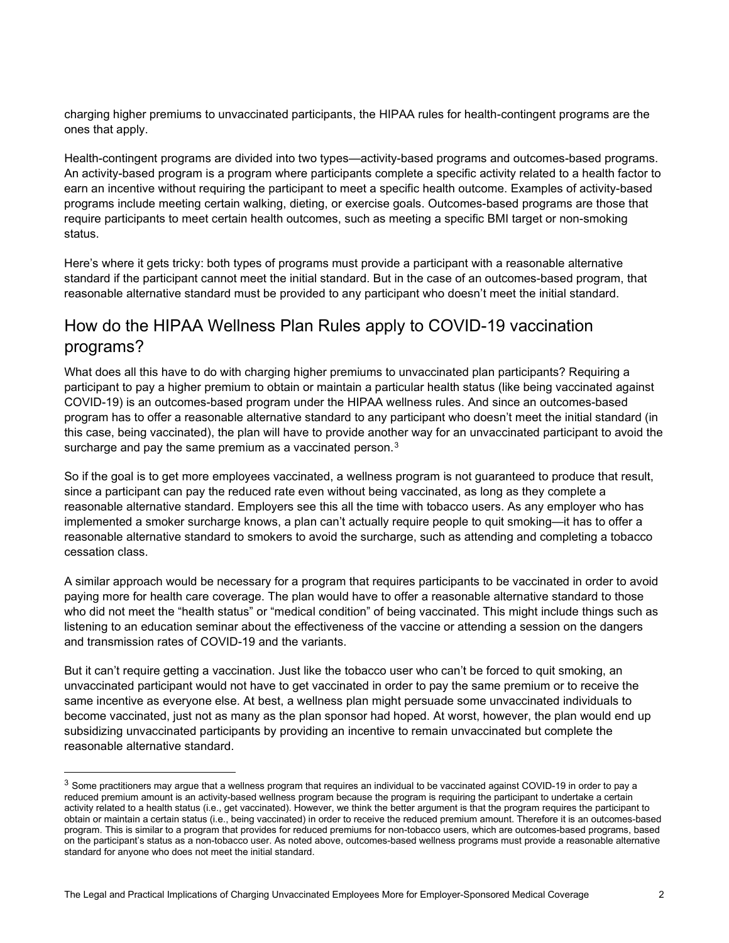charging higher premiums to unvaccinated participants, the HIPAA rules for health-contingent programs are the ones that apply.

Health-contingent programs are divided into two types—activity-based programs and outcomes-based programs. An activity-based program is a program where participants complete a specific activity related to a health factor to earn an incentive without requiring the participant to meet a specific health outcome. Examples of activity-based programs include meeting certain walking, dieting, or exercise goals. Outcomes-based programs are those that require participants to meet certain health outcomes, such as meeting a specific BMI target or non-smoking status.

Here's where it gets tricky: both types of programs must provide a participant with a reasonable alternative standard if the participant cannot meet the initial standard. But in the case of an outcomes-based program, that reasonable alternative standard must be provided to any participant who doesn't meet the initial standard.

## How do the HIPAA Wellness Plan Rules apply to COVID-19 vaccination programs?

What does all this have to do with charging higher premiums to unvaccinated plan participants? Requiring a participant to pay a higher premium to obtain or maintain a particular health status (like being vaccinated against COVID-19) is an outcomes-based program under the HIPAA wellness rules. And since an outcomes-based program has to offer a reasonable alternative standard to any participant who doesn't meet the initial standard (in this case, being vaccinated), the plan will have to provide another way for an unvaccinated participant to avoid the surcharge and pay the same premium as a vaccinated person.<sup>[3](#page-1-0)</sup>

So if the goal is to get more employees vaccinated, a wellness program is not guaranteed to produce that result, since a participant can pay the reduced rate even without being vaccinated, as long as they complete a reasonable alternative standard. Employers see this all the time with tobacco users. As any employer who has implemented a smoker surcharge knows, a plan can't actually require people to quit smoking—it has to offer a reasonable alternative standard to smokers to avoid the surcharge, such as attending and completing a tobacco cessation class.

A similar approach would be necessary for a program that requires participants to be vaccinated in order to avoid paying more for health care coverage. The plan would have to offer a reasonable alternative standard to those who did not meet the "health status" or "medical condition" of being vaccinated. This might include things such as listening to an education seminar about the effectiveness of the vaccine or attending a session on the dangers and transmission rates of COVID-19 and the variants.

But it can't require getting a vaccination. Just like the tobacco user who can't be forced to quit smoking, an unvaccinated participant would not have to get vaccinated in order to pay the same premium or to receive the same incentive as everyone else. At best, a wellness plan might persuade some unvaccinated individuals to become vaccinated, just not as many as the plan sponsor had hoped. At worst, however, the plan would end up subsidizing unvaccinated participants by providing an incentive to remain unvaccinated but complete the reasonable alternative standard.

<span id="page-1-0"></span> $3$  Some practitioners may argue that a wellness program that requires an individual to be vaccinated against COVID-19 in order to pay a reduced premium amount is an activity-based wellness program because the program is requiring the participant to undertake a certain activity related to a health status (i.e., get vaccinated). However, we think the better argument is that the program requires the participant to obtain or maintain a certain status (i.e., being vaccinated) in order to receive the reduced premium amount. Therefore it is an outcomes-based program. This is similar to a program that provides for reduced premiums for non-tobacco users, which are outcomes-based programs, based on the participant's status as a non-tobacco user. As noted above, outcomes-based wellness programs must provide a reasonable alternative standard for anyone who does not meet the initial standard.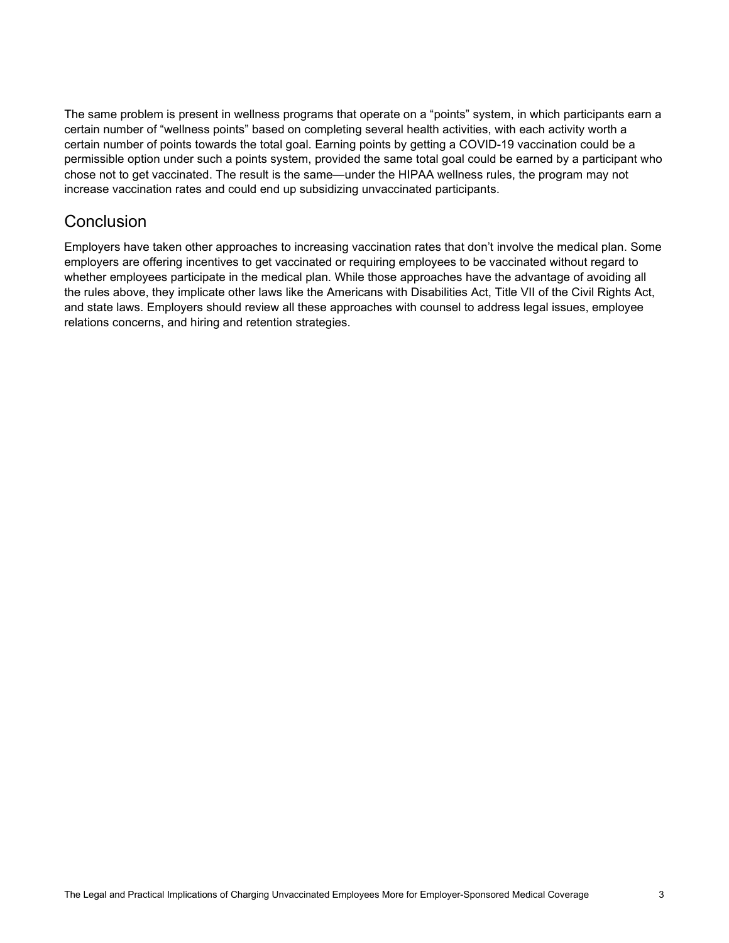The same problem is present in wellness programs that operate on a "points" system, in which participants earn a certain number of "wellness points" based on completing several health activities, with each activity worth a certain number of points towards the total goal. Earning points by getting a COVID-19 vaccination could be a permissible option under such a points system, provided the same total goal could be earned by a participant who chose not to get vaccinated. The result is the same—under the HIPAA wellness rules, the program may not increase vaccination rates and could end up subsidizing unvaccinated participants.

### **Conclusion**

Employers have taken other approaches to increasing vaccination rates that don't involve the medical plan. Some employers are offering incentives to get vaccinated or requiring employees to be vaccinated without regard to whether employees participate in the medical plan. While those approaches have the advantage of avoiding all the rules above, they implicate other laws like the Americans with Disabilities Act, Title VII of the Civil Rights Act, and state laws. Employers should review all these approaches with counsel to address legal issues, employee relations concerns, and hiring and retention strategies.